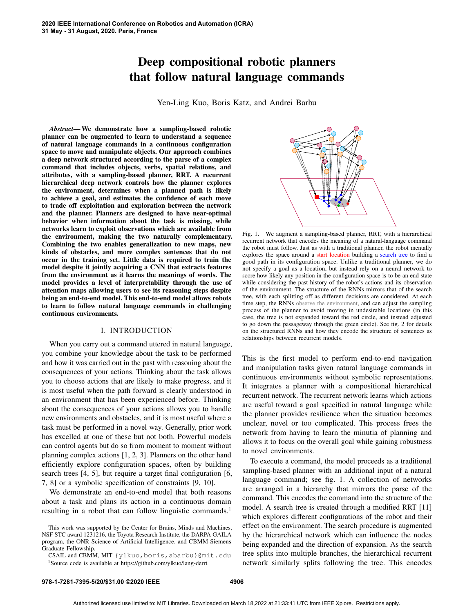# Deep compositional robotic planners that follow natural language commands

Yen-Ling Kuo, Boris Katz, and Andrei Barbu

*Abstract*— We demonstrate how a sampling-based robotic planner can be augmented to learn to understand a sequence of natural language commands in a continuous configuration space to move and manipulate objects. Our approach combines a deep network structured according to the parse of a complex command that includes objects, verbs, spatial relations, and attributes, with a sampling-based planner, RRT. A recurrent hierarchical deep network controls how the planner explores the environment, determines when a planned path is likely to achieve a goal, and estimates the confidence of each move to trade off exploitation and exploration between the network and the planner. Planners are designed to have near-optimal behavior when information about the task is missing, while networks learn to exploit observations which are available from the environment, making the two naturally complementary. Combining the two enables generalization to new maps, new kinds of obstacles, and more complex sentences that do not occur in the training set. Little data is required to train the model despite it jointly acquiring a CNN that extracts features from the environment as it learns the meanings of words. The model provides a level of interpretability through the use of attention maps allowing users to see its reasoning steps despite being an end-to-end model. This end-to-end model allows robots to learn to follow natural language commands in challenging continuous environments.

## I. INTRODUCTION

When you carry out a command uttered in natural language, you combine your knowledge about the task to be performed and how it was carried out in the past with reasoning about the consequences of your actions. Thinking about the task allows you to choose actions that are likely to make progress, and it is most useful when the path forward is clearly understood in an environment that has been experienced before. Thinking about the consequences of your actions allows you to handle new environments and obstacles, and it is most useful where a task must be performed in a novel way. Generally, prior work has excelled at one of these but not both. Powerful models can control agents but do so from moment to moment without planning complex actions [1, 2, 3]. Planners on the other hand efficiently explore configuration spaces, often by building search trees [4, 5], but require a target final configuration [6, 7, 8] or a symbolic specification of constraints [9, 10].

We demonstrate an end-to-end model that both reasons about a task and plans its action in a continuous domain resulting in a robot that can follow linguistic commands.<sup>1</sup>

CSAIL and CBMM, MIT {ylkuo,boris,abarbu}@mit.edu <sup>1</sup>Source code is available at https://github.com/ylkuo/lang-derrt



Fig. 1. We augment a sampling-based planner, RRT, with a hierarchical recurrent network that encodes the meaning of a natural-language command the robot must follow. Just as with a traditional planner, the robot mentally explores the space around a start location building a search tree to find a good path in its configuration space. Unlike a traditional planner, we do not specify a goal as a location, but instead rely on a neural network to score how likely any position in the configuration space is to be an end state while considering the past history of the robot's actions and its observation of the environment. The structure of the RNNs mirrors that of the search tree, with each splitting off as different decisions are considered. At each time step, the RNNs observe the environment, and can adjust the sampling process of the planner to avoid moving in undesirable locations (in this case, the tree is not expanded toward the red circle, and instead adjusted to go down the passageway through the green circle). See fig. 2 for details on the structured RNNs and how they encode the structure of sentences as relationships between recurrent models.

This is the first model to perform end-to-end navigation and manipulation tasks given natural language commands in continuous environments without symbolic representations. It integrates a planner with a compositional hierarchical recurrent network. The recurrent network learns which actions are useful toward a goal specified in natural language while the planner provides resilience when the situation becomes unclear, novel or too complicated. This process frees the network from having to learn the minutia of planning and allows it to focus on the overall goal while gaining robustness to novel environments.

To execute a command, the model proceeds as a traditional sampling-based planner with an additional input of a natural language command; see fig. 1. A collection of networks are arranged in a hierarchy that mirrors the parse of the command. This encodes the command into the structure of the model. A search tree is created through a modified RRT [11] which explores different configurations of the robot and their effect on the environment. The search procedure is augmented by the hierarchical network which can influence the nodes being expanded and the direction of expansion. As the search tree splits into multiple branches, the hierarchical recurrent network similarly splits following the tree. This encodes

This work was supported by the Center for Brains, Minds and Machines, NSF STC award 1231216, the Toyota Research Institute, the DARPA GAILA program, the ONR Science of Artificial Intelligence, and CBMM-Siemens Graduate Fellowship.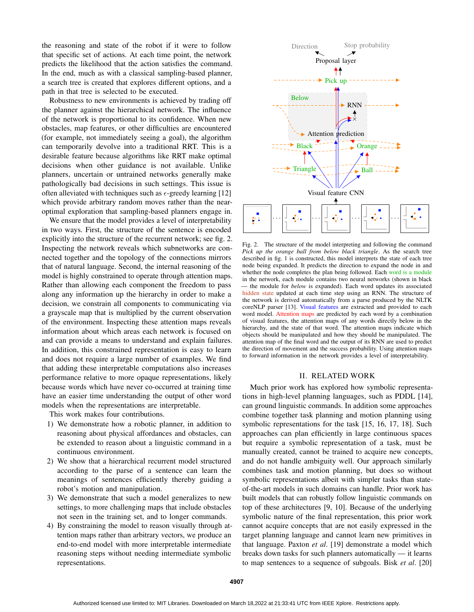the reasoning and state of the robot if it were to follow that specific set of actions. At each time point, the network predicts the likelihood that the action satisfies the command. In the end, much as with a classical sampling-based planner, a search tree is created that explores different options, and a path in that tree is selected to be executed.

Robustness to new environments is achieved by trading off the planner against the hierarchical network. The influence of the network is proportional to its confidence. When new obstacles, map features, or other difficulties are encountered (for example, not immediately seeing a goal), the algorithm can temporarily devolve into a traditional RRT. This is a desirable feature because algorithms like RRT make optimal decisions when other guidance is not available. Unlike planners, uncertain or untrained networks generally make pathologically bad decisions in such settings. This issue is often alleviated with techniques such as  $\epsilon$ -greedy learning [12] which provide arbitrary random moves rather than the nearoptimal exploration that sampling-based planners engage in.

We ensure that the model provides a level of interpretability in two ways. First, the structure of the sentence is encoded explicitly into the structure of the recurrent network; see fig. 2. Inspecting the network reveals which subnetworks are connected together and the topology of the connections mirrors that of natural language. Second, the internal reasoning of the model is highly constrained to operate through attention maps. Rather than allowing each component the freedom to pass along any information up the hierarchy in order to make a decision, we constrain all components to communicating via a grayscale map that is multiplied by the current observation of the environment. Inspecting these attention maps reveals information about which areas each network is focused on and can provide a means to understand and explain failures. In addition, this constrained representation is easy to learn and does not require a large number of examples. We find that adding these interpretable computations also increases performance relative to more opaque representations, likely because words which have never co-occurred at training time have an easier time understanding the output of other word models when the representations are interpretable.

This work makes four contributions.

- 1) We demonstrate how a robotic planner, in addition to reasoning about physical affordances and obstacles, can be extended to reason about a linguistic command in a continuous environment.
- 2) We show that a hierarchical recurrent model structured according to the parse of a sentence can learn the meanings of sentences efficiently thereby guiding a robot's motion and manipulation.
- 3) We demonstrate that such a model generalizes to new settings, to more challenging maps that include obstacles not seen in the training set, and to longer commands.
- 4) By constraining the model to reason visually through attention maps rather than arbitrary vectors, we produce an end-to-end model with more interpretable intermediate reasoning steps without needing intermediate symbolic representations.



Fig. 2. The structure of the model interpreting and following the command *Pick up the orange ball from below black triangle*. As the search tree described in fig. 1 is constructed, this model interprets the state of each tree node being expanded. It predicts the direction to expand the node in and whether the node completes the plan being followed. Each word is a module in the network, each module contains two neural networks (shown in black — the module for *below* is expanded). Each word updates its associated hidden state updated at each time step using an RNN. The structure of the network is derived automatically from a parse produced by the NLTK coreNLP parser [13]. Visual features are extracted and provided to each word model. Attention maps are predicted by each word by a combination of visual features, the attention maps of any words directly below in the hierarchy, and the state of that word. The attention maps indicate which objects should be manipulated and how they should be manipulated. The attention map of the final word and the output of its RNN are used to predict the direction of movement and the success probability. Using attention maps to forward information in the network provides a level of interpretability.

### II. RELATED WORK

Much prior work has explored how symbolic representations in high-level planning languages, such as PDDL [14], can ground linguistic commands. In addition some approaches combine together task planning and motion planning using symbolic representations for the task [15, 16, 17, 18]. Such approaches can plan efficiently in large continuous spaces but require a symbolic representation of a task, must be manually created, cannot be trained to acquire new concepts, and do not handle ambiguity well. Our approach similarly combines task and motion planning, but does so without symbolic representations albeit with simpler tasks than stateof-the-art models in such domains can handle. Prior work has built models that can robustly follow linguistic commands on top of these architectures [9, 10]. Because of the underlying symbolic nature of the final representation, this prior work cannot acquire concepts that are not easily expressed in the target planning language and cannot learn new primitives in that language. Paxton *et al*. [19] demonstrate a model which breaks down tasks for such planners automatically — it learns to map sentences to a sequence of subgoals. Bisk *et al*. [20]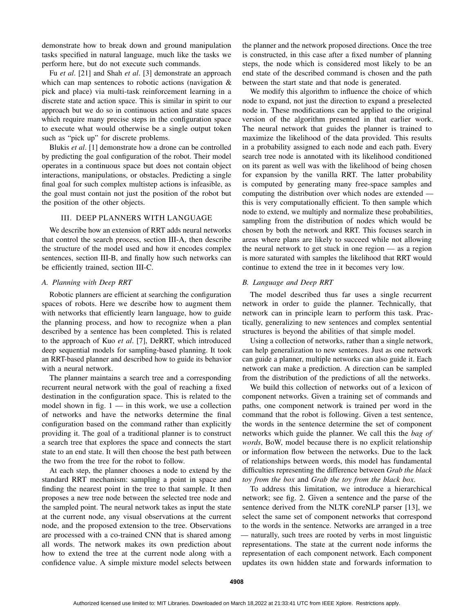demonstrate how to break down and ground manipulation tasks specified in natural language, much like the tasks we perform here, but do not execute such commands.

Fu *et al*. [21] and Shah *et al*. [3] demonstrate an approach which can map sentences to robotic actions (navigation  $\&$ pick and place) via multi-task reinforcement learning in a discrete state and action space. This is similar in spirit to our approach but we do so in continuous action and state spaces which require many precise steps in the configuration space to execute what would otherwise be a single output token such as "pick up" for discrete problems.

Blukis *et al*. [1] demonstrate how a drone can be controlled by predicting the goal configuration of the robot. Their model operates in a continuous space but does not contain object interactions, manipulations, or obstacles. Predicting a single final goal for such complex multistep actions is infeasible, as the goal must contain not just the position of the robot but the position of the other objects.

## III. DEEP PLANNERS WITH LANGUAGE

We describe how an extension of RRT adds neural networks that control the search process, section III-A, then describe the structure of the model used and how it encodes complex sentences, section III-B, and finally how such networks can be efficiently trained, section III-C.

#### *A. Planning with Deep RRT*

Robotic planners are efficient at searching the configuration spaces of robots. Here we describe how to augment them with networks that efficiently learn language, how to guide the planning process, and how to recognize when a plan described by a sentence has been completed. This is related to the approach of Kuo *et al*. [7], DeRRT, which introduced deep sequential models for sampling-based planning. It took an RRT-based planner and described how to guide its behavior with a neural network.

The planner maintains a search tree and a corresponding recurrent neural network with the goal of reaching a fixed destination in the configuration space. This is related to the model shown in fig.  $1 -$  in this work, we use a collection of networks and have the networks determine the final configuration based on the command rather than explicitly providing it. The goal of a traditional planner is to construct a search tree that explores the space and connects the start state to an end state. It will then choose the best path between the two from the tree for the robot to follow.

At each step, the planner chooses a node to extend by the standard RRT mechanism: sampling a point in space and finding the nearest point in the tree to that sample. It then proposes a new tree node between the selected tree node and the sampled point. The neural network takes as input the state at the current node, any visual observations at the current node, and the proposed extension to the tree. Observations are processed with a co-trained CNN that is shared among all words. The network makes its own prediction about how to extend the tree at the current node along with a confidence value. A simple mixture model selects between

the planner and the network proposed directions. Once the tree is constructed, in this case after a fixed number of planning steps, the node which is considered most likely to be an end state of the described command is chosen and the path between the start state and that node is generated.

We modify this algorithm to influence the choice of which node to expand, not just the direction to expand a preselected node in. These modifications can be applied to the original version of the algorithm presented in that earlier work. The neural network that guides the planner is trained to maximize the likelihood of the data provided. This results in a probability assigned to each node and each path. Every search tree node is annotated with its likelihood conditioned on its parent as well was with the likelihood of being chosen for expansion by the vanilla RRT. The latter probability is computed by generating many free-space samples and computing the distribution over which nodes are extended this is very computationally efficient. To then sample which node to extend, we multiply and normalize these probabilities, sampling from the distribution of nodes which would be chosen by both the network and RRT. This focuses search in areas where plans are likely to succeed while not allowing the neural network to get stuck in one region — as a region is more saturated with samples the likelihood that RRT would continue to extend the tree in it becomes very low.

#### *B. Language and Deep RRT*

The model described thus far uses a single recurrent network in order to guide the planner. Technically, that network can in principle learn to perform this task. Practically, generalizing to new sentences and complex sentential structures is beyond the abilities of that simple model.

Using a collection of networks, rather than a single network, can help generalization to new sentences. Just as one network can guide a planner, multiple networks can also guide it. Each network can make a prediction. A direction can be sampled from the distribution of the predictions of all the networks.

We build this collection of networks out of a lexicon of component networks. Given a training set of commands and paths, one component network is trained per word in the command that the robot is following. Given a test sentence, the words in the sentence determine the set of component networks which guide the planner. We call this the *bag of words*, BoW, model because there is no explicit relationship or information flow between the networks. Due to the lack of relationships between words, this model has fundamental difficulties representing the difference between *Grab the black toy from the box* and *Grab the toy from the black box*.

To address this limitation, we introduce a hierarchical network; see fig. 2. Given a sentence and the parse of the sentence derived from the NLTK coreNLP parser [13], we select the same set of component networks that correspond to the words in the sentence. Networks are arranged in a tree — naturally, such trees are rooted by verbs in most linguistic representations. The state at the current node informs the representation of each component network. Each component updates its own hidden state and forwards information to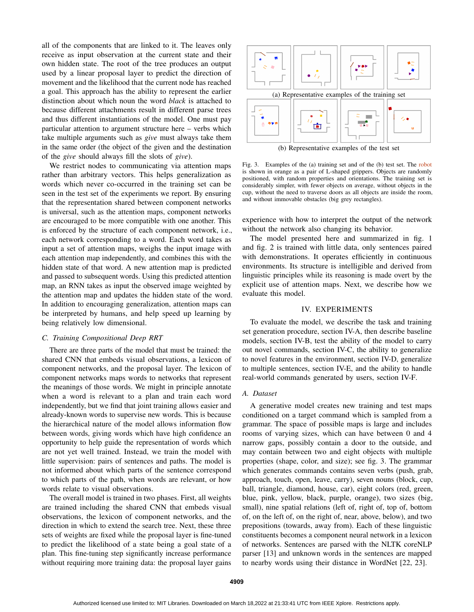all of the components that are linked to it. The leaves only receive as input observation at the current state and their own hidden state. The root of the tree produces an output used by a linear proposal layer to predict the direction of movement and the likelihood that the current node has reached a goal. This approach has the ability to represent the earlier distinction about which noun the word *black* is attached to because different attachments result in different parse trees and thus different instantiations of the model. One must pay particular attention to argument structure here – verbs which take multiple arguments such as *give* must always take them in the same order (the object of the given and the destination of the *give* should always fill the slots of *give*).

We restrict nodes to communicating via attention maps rather than arbitrary vectors. This helps generalization as words which never co-occurred in the training set can be seen in the test set of the experiments we report. By ensuring that the representation shared between component networks is universal, such as the attention maps, component networks are encouraged to be more compatible with one another. This is enforced by the structure of each component network, i.e., each network corresponding to a word. Each word takes as input a set of attention maps, weighs the input image with each attention map independently, and combines this with the hidden state of that word. A new attention map is predicted and passed to subsequent words. Using this predicted attention map, an RNN takes as input the observed image weighted by the attention map and updates the hidden state of the word. In addition to encouraging generalization, attention maps can be interpreted by humans, and help speed up learning by being relatively low dimensional.

#### *C. Training Compositional Deep RRT*

There are three parts of the model that must be trained: the shared CNN that embeds visual observations, a lexicon of component networks, and the proposal layer. The lexicon of component networks maps words to networks that represent the meanings of those words. We might in principle annotate when a word is relevant to a plan and train each word independently, but we find that joint training allows easier and already-known words to supervise new words. This is because the hierarchical nature of the model allows information flow between words, giving words which have high confidence an opportunity to help guide the representation of words which are not yet well trained. Instead, we train the model with little supervision: pairs of sentences and paths. The model is not informed about which parts of the sentence correspond to which parts of the path, when words are relevant, or how words relate to visual observations.

The overall model is trained in two phases. First, all weights are trained including the shared CNN that embeds visual observations, the lexicon of component networks, and the direction in which to extend the search tree. Next, these three sets of weights are fixed while the proposal layer is fine-tuned to predict the likelihood of a state being a goal state of a plan. This fine-tuning step significantly increase performance without requiring more training data: the proposal layer gains



Fig. 3. Examples of the (a) training set and of the (b) test set. The robot is shown in orange as a pair of L-shaped grippers. Objects are randomly positioned, with random properties and orientations. The training set is considerably simpler, with fewer objects on average, without objects in the cup, without the need to traverse doors as all objects are inside the room, and without immovable obstacles (big grey rectangles).

experience with how to interpret the output of the network without the network also changing its behavior.

The model presented here and summarized in fig. 1 and fig. 2 is trained with little data, only sentences paired with demonstrations. It operates efficiently in continuous environments. Its structure is intelligible and derived from linguistic principles while its reasoning is made overt by the explicit use of attention maps. Next, we describe how we evaluate this model.

### IV. EXPERIMENTS

To evaluate the model, we describe the task and training set generation procedure, section IV-A, then describe baseline models, section IV-B, test the ability of the model to carry out novel commands, section IV-C, the ability to generalize to novel features in the environment, section IV-D, generalize to multiple sentences, section IV-E, and the ability to handle real-world commands generated by users, section IV-F.

#### *A. Dataset*

A generative model creates new training and test maps conditioned on a target command which is sampled from a grammar. The space of possible maps is large and includes rooms of varying sizes, which can have between 0 and 4 narrow gaps, possibly contain a door to the outside, and may contain between two and eight objects with multiple properties (shape, color, and size); see fig. 3. The grammar which generates commands contains seven verbs (push, grab, approach, touch, open, leave, carry), seven nouns (block, cup, ball, triangle, diamond, house, car), eight colors (red, green, blue, pink, yellow, black, purple, orange), two sizes (big, small), nine spatial relations (left of, right of, top of, bottom of, on the left of, on the right of, near, above, below), and two prepositions (towards, away from). Each of these linguistic constituents becomes a component neural network in a lexicon of networks. Sentences are parsed with the NLTK coreNLP parser [13] and unknown words in the sentences are mapped to nearby words using their distance in WordNet [22, 23].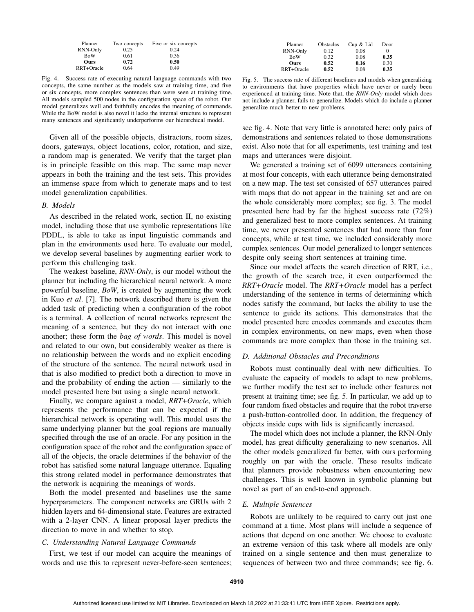| Two concepts | Five or six concepts |
|--------------|----------------------|
| 0.25         | 0.24                 |
| 0.61         | 0.36                 |
| 0.72         | 0.50                 |
| 0.64         | 0.49                 |
|              |                      |

Fig. 4. Success rate of executing natural language commands with two concepts, the same number as the models saw at training time, and five or six concepts, more complex sentences than were seen at training time. All models sampled 500 nodes in the configuration space of the robot. Our model generalizes well and faithfully encodes the meaning of commands. While the BoW model is also novel it lacks the internal structure to represent many sentences and significantly underperforms our hierarchical model.

Given all of the possible objects, distractors, room sizes, doors, gateways, object locations, color, rotation, and size, a random map is generated. We verify that the target plan is in principle feasible on this map. The same map never appears in both the training and the test sets. This provides an immense space from which to generate maps and to test model generalization capabilities.

### *B. Models*

As described in the related work, section II, no existing model, including those that use symbolic representations like PDDL, is able to take as input linguistic commands and plan in the environments used here. To evaluate our model, we develop several baselines by augmenting earlier work to perform this challenging task.

The weakest baseline, *RNN-Only*, is our model without the planner but including the hierarchical neural network. A more powerful baseline, *BoW*, is created by augmenting the work in Kuo *et al*. [7]. The network described there is given the added task of predicting when a configuration of the robot is a terminal. A collection of neural networks represent the meaning of a sentence, but they do not interact with one another; these form the *bag of words*. This model is novel and related to our own, but considerably weaker as there is no relationship between the words and no explicit encoding of the structure of the sentence. The neural network used in that is also modified to predict both a direction to move in and the probability of ending the action — similarly to the model presented here but using a single neural network.

Finally, we compare against a model, *RRT+Oracle*, which represents the performance that can be expected if the hierarchical network is operating well. This model uses the same underlying planner but the goal regions are manually specified through the use of an oracle. For any position in the configuration space of the robot and the configuration space of all of the objects, the oracle determines if the behavior of the robot has satisfied some natural language utterance. Equaling this strong related model in performance demonstrates that the network is acquiring the meanings of words.

Both the model presented and baselines use the same hyperparameters. The component networks are GRUs with 2 hidden layers and 64-dimensional state. Features are extracted with a 2-layer CNN. A linear proposal layer predicts the direction to move in and whether to stop.

#### *C. Understanding Natural Language Commands*

First, we test if our model can acquire the meanings of words and use this to represent never-before-seen sentences;

| Planner    | <b>Obstacles</b> | Cup & Lid | Door     |
|------------|------------------|-----------|----------|
| RNN-Only   | 0.12             | 0.08      | $^{(1)}$ |
| <b>BoW</b> | 0.32             | 0.08      | 0.35     |
| Ours       | 0.52             | 0.16      | 0.30     |
| RRT+Oracle | 0.52             | 0.08      | 0.35     |

Fig. 5. The success rate of different baselines and models when generalizing to environments that have properties which have never or rarely been experienced at training time. Note that, the *RNN-Only* model which does not include a planner, fails to generalize. Models which do include a planner generalize much better to new problems.

see fig. 4. Note that very little is annotated here: only pairs of demonstrations and sentences related to those demonstrations exist. Also note that for all experiments, test training and test maps and utterances were disjoint.

We generated a training set of 6099 utterances containing at most four concepts, with each utterance being demonstrated on a new map. The test set consisted of 657 utterances paired with maps that do not appear in the training set and are on the whole considerably more complex; see fig. 3. The model presented here had by far the highest success rate (72%) and generalized best to more complex sentences. At training time, we never presented sentences that had more than four concepts, while at test time, we included considerably more complex sentences. Our model generalized to longer sentences despite only seeing short sentences at training time.

Since our model affects the search direction of RRT, i.e., the growth of the search tree, it even outperformed the *RRT+Oracle* model. The *RRT+Oracle* model has a perfect understanding of the sentence in terms of determining which nodes satisfy the command, but lacks the ability to use the sentence to guide its actions. This demonstrates that the model presented here encodes commands and executes them in complex environments, on new maps, even when those commands are more complex than those in the training set.

## *D. Additional Obstacles and Preconditions*

Robots must continually deal with new difficulties. To evaluate the capacity of models to adapt to new problems, we further modify the test set to include other features not present at training time; see fig. 5. In particular, we add up to four random fixed obstacles and require that the robot traverse a push-button-controlled door. In addition, the frequency of objects inside cups with lids is significantly increased.

The model which does not include a planner, the RNN-Only model, has great difficulty generalizing to new scenarios. All the other models generalized far better, with ours performing roughly on par with the oracle. These results indicate that planners provide robustness when encountering new challenges. This is well known in symbolic planning but novel as part of an end-to-end approach.

#### *E. Multiple Sentences*

Robots are unlikely to be required to carry out just one command at a time. Most plans will include a sequence of actions that depend on one another. We choose to evaluate an extreme version of this task where all models are only trained on a single sentence and then must generalize to sequences of between two and three commands; see fig. 6.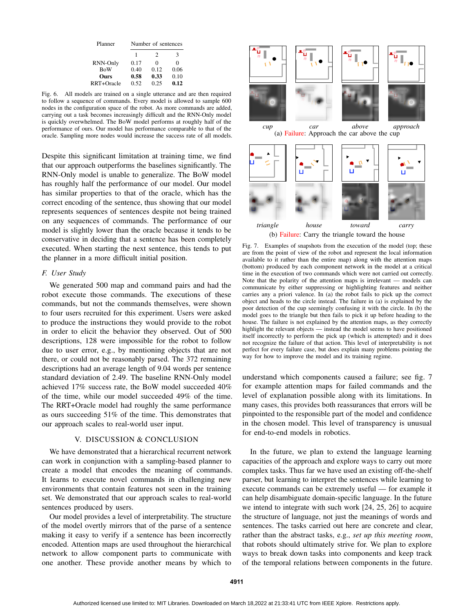| Planner    | Number of sentences |      |      |  |
|------------|---------------------|------|------|--|
|            |                     | 2    | 3    |  |
| RNN-Only   | 0.17                | 0    | 0    |  |
| <b>BoW</b> | 0.40                | 0.12 | 0.06 |  |
| Ours       | 0.58                | 0.33 | 0.10 |  |
| RRT+Oracle | 0.52                | 0.25 | 0.12 |  |

Fig. 6. All models are trained on a single utterance and are then required to follow a sequence of commands. Every model is allowed to sample 600 nodes in the configuration space of the robot. As more commands are added, carrying out a task becomes increasingly difficult and the RNN-Only model is quickly overwhelmed. The BoW model performs at roughly half of the performance of ours. Our model has performance comparable to that of the oracle. Sampling more nodes would increase the success rate of all models.

Despite this significant limitation at training time, we find that our approach outperforms the baselines significantly. The RNN-Only model is unable to generalize. The BoW model has roughly half the performance of our model. Our model has similar properties to that of the oracle, which has the correct encoding of the sentence, thus showing that our model represents sequences of sentences despite not being trained on any sequences of commands. The performance of our model is slightly lower than the oracle because it tends to be conservative in deciding that a sentence has been completely executed. When starting the next sentence, this tends to put the planner in a more difficult initial position.

#### *F. User Study*

We generated 500 map and command pairs and had the robot execute those commands. The executions of these commands, but not the commands themselves, were shown to four users recruited for this experiment. Users were asked to produce the instructions they would provide to the robot in order to elicit the behavior they observed. Out of 500 descriptions, 128 were impossible for the robot to follow due to user error, e.g., by mentioning objects that are not there, or could not be reasonably parsed. The 372 remaining descriptions had an average length of 9.04 words per sentence standard deviation of 2.49. The baseline RNN-Only model achieved 17% success rate, the BoW model succeeded 40% of the time, while our model succeeded 49% of the time. The RRT+Oracle model had roughly the same performance as ours succeeding 51% of the time. This demonstrates that our approach scales to real-world user input.

## V. DISCUSSION & CONCLUSION

We have demonstrated that a hierarchical recurrent network can work in conjunction with a sampling-based planner to create a model that encodes the meaning of commands. It learns to execute novel commands in challenging new environments that contain features not seen in the training set. We demonstrated that our approach scales to real-world sentences produced by users.

Our model provides a level of interpretability. The structure of the model overtly mirrors that of the parse of a sentence making it easy to verify if a sentence has been incorrectly encoded. Attention maps are used throughout the hierarchical network to allow component parts to communicate with one another. These provide another means by which to



(b) Failure: Carry the triangle toward the house

Fig. 7. Examples of snapshots from the execution of the model (top; these are from the point of view of the robot and represent the local information available to it rather than the entire map) along with the attention maps (bottom) produced by each component network in the model at a critical time in the execution of two commands which were not carried out correctly. Note that the polarity of the attention maps is irrelevant — models can communicate by either suppressing or highlighting features and neither carries any a priori valence. In (a) the robot fails to pick up the correct object and heads to the circle instead. The failure in (a) is explained by the poor detection of the cup seemingly confusing it with the circle. In (b) the model goes to the triangle but then fails to pick it up before heading to the house. The failure is not explained by the attention maps, as they correctly highlight the relevant objects — instead the model seems to have positioned itself incorrectly to perform the pick up (which is attempted) and it does not recognize the failure of that action. This level of interpretability is not perfect for every failure case, but does explain many problems pointing the way for how to improve the model and its training regime.

understand which components caused a failure; see fig. 7 for example attention maps for failed commands and the level of explanation possible along with its limitations. In many cases, this provides both reassurances that errors will be pinpointed to the responsible part of the model and confidence in the chosen model. This level of transparency is unusual for end-to-end models in robotics.

In the future, we plan to extend the language learning capacities of the approach and explore ways to carry out more complex tasks. Thus far we have used an existing off-the-shelf parser, but learning to interpret the sentences while learning to execute commands can be extremely useful — for example it can help disambiguate domain-specific language. In the future we intend to integrate with such work [24, 25, 26] to acquire the structure of language, not just the meanings of words and sentences. The tasks carried out here are concrete and clear, rather than the abstract tasks, e.g., *set up this meeting room*, that robots should ultimately strive for. We plan to explore ways to break down tasks into components and keep track of the temporal relations between components in the future.